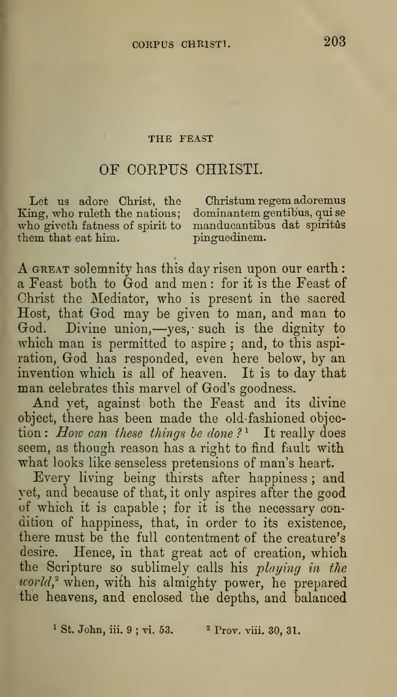## THE FEAST

## OF CORPUS CHRISTI.

King, who ruleth the nations; dominantem gentibus, qui se who giveth fatness of spirit to manducantibus dat spiritus them that eat him. pinguedinem. them that eat him.

Let us adore Christ, the Christum regem adoremus

A GREAT solemnity has this day risen upon our earth : a Feast both, to God and men : for it is the Feast of Christ the Mediator, who is present in the sacred Host, that God may be given to man, and man to God. Divine union,—yes, such is the dignity to which man is permitted to aspire; and, to this aspiration, God has responded, even here below, by an invention which is all of heaven. It is to day that man celebrates this marvel of God's goodness.

And yet, against both the Feast and its divine object, there has been made the old-fashioned objection : How can these things be done?<sup>1</sup> It really does seem, as though reason has a right to find fault with what looks like senseless pretensions of man's heart.

Every living being thirsts after happiness ; and yet, and because of that, it only aspires after the good of which it is capable ; for it is the necessary condition of happiness, that, in order to its existence, there must be the full contentment of the creature's desire. Hence, in that great act of creation, which the Scripture so sublimely calls his playing in the  $world$ <sup>2</sup> when, with his almighty power, he prepared the heavens, and enclosed the depths, and balanced

<sup>1</sup> St. John, iii. 9; vi. 53.  $\frac{2 \text{ Prov. viii. 30, 31.}}{2 \text{ Prov. viii. 30, 31.}}$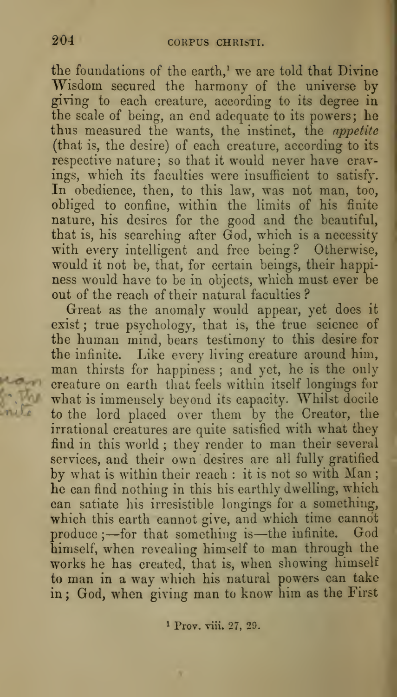the foundations of the earth, $<sup>1</sup>$  we are told that Divine</sup> Wisdom secured the harmony of the universe hy giving to each creature, according to its degree in the scale of being, an end adequate to its powers; he thus measured the wants, the instinct, the appetite (that is, the desire) of each creature, according to its respective nature; so that it would never have cravings, which its faculties were insufficient to satisfy. In obedience, then, to this law, was not man, too, obliged to confine, within the limits of his finite nature, his desires for the good and the beautiful, that is, his searching after God, which is a necessity with every intelligent and free being? Otherwise, would it not be, that, for certain beings, their happiness would have to be in objects, which must ever be out of the reach of their natural faculties ?

Great as the anomaly would appear, yet does it exist; true psychology, that is, the true science of the human mind, bears testimony to this desire for the infinite. Like every living creature around him, man thirsts for happiness ; and yet, he is the only creature on earth that feels within itself longings for what is immensely beyond its capacity. Whilst docile to the lord placed over them by the Creator, the irrational creatures are quite satisfied with what they find in this world ; they render to man their several services, and their own desires are all fully gratified by what is within their reach : it is not so with Man he can find nothing in this his earthly dwelling, which can satiate his irresistible longings for a something, which this earth eannot give, and which time cannot produce ;- for that something is-the infinite. God himself, when revealing himself to man through the works he has created, that is, when showing himself to man in a way which his natural powers can take in ; God, when giving man to know him as the First

<sup>1</sup> Prov. viii. 27, 29.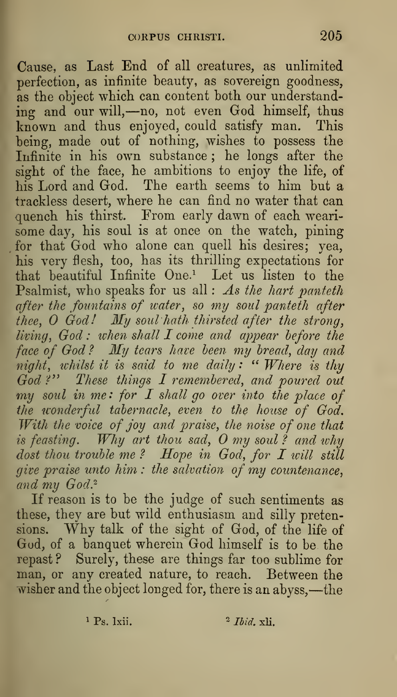Cause, as Last End of all creatures, as unlimited perfection, as infinite beauty, as sovereign goodness, as the object which can content both our understand-<br>ing and our will,—no, not even God himself, thus known and thus enjoyed, could satisfy man. This being, made out of nothing, wishes to possess the Infinite in his own substance ; he longs after the sight of the face, he ambitions to enjoy the life, of his Lord and God. The earth seems to him but a trackless desert, where he can find no water that can quench his thirst. From early dawn of each wearisome day, his soul is at once on the watch, pining for that God who alone can quell his desires; yea, his very flesh, too, has its thrilling expectations for that beautiful Infinite One.^ Let us listen to the Psalmist, who speaks for us all : As the hart panteth after the fountains of ivater, so my soul panteth after thee, O God!  $\it My$  soul hath thirsted after the strong, living, God : when shall  $I$  come and appear before the face of God ? My tears have been my bread, day and night, whilst it is said to me daily: " Where is thy  $\hspace{0.25cm}$ God ?" These things  $I$  remembered, and poured out my soul in me: for I shall go over into the place of the wonderful tabernacle, even to the house of God. With the voice of joy and praise, the noise of one that is feasting.  $\it{Why}$  art thou sad,  $\it{O}$  my soul ? and why dost thou trouble me ? Hope in God, for I will still give praise unto him : the salvation of my countenance, and my God.<sup>2</sup>

If reason is to be the judge of such sentiments as these, they are but wild enthusiasm and silly pretensions. Why talk of the sight of God, of the life of God, of <sup>a</sup> banquet wherein God himself is to be the repast ? Surely, these are things far too sublime for man, or any created nature, to reach. Between the wisher and the object longed for, there is an abyss,—the

<sup>1</sup> Ps. 1xii.  $\frac{2 \text{ Ibid. xli.}}{2}$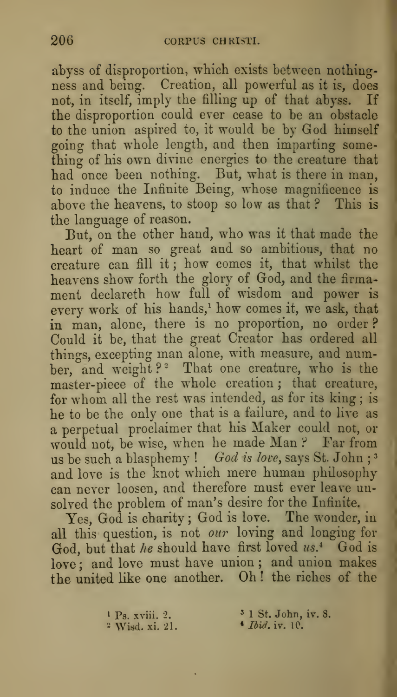abyss of disproportion, which exists between nothingness and being. Creation, all powerful as it is, does not, in itself, imply the filling up of that abyss. If the disproportion could ever cease to be an obstacle to the union aspired to, it would be by God himself going that whole length, and then imparting something of his own divine energies to the creature that had once been nothing. But, what is there in man, to induce the Infinite Being, whose magnificence is above the heavens, to stoop so low as that ? This is the language of reason.

But, on the other hand, who was it that made the heart of man so great and so ambitious, that no creature can fill it ; how comes it, that whilst the heavens show forth the glory of God, and the firmament declareth how full of wisdom and power is every work of his hands,<sup>1</sup> how comes it, we ask, that in man, alone, there is no proportion, no order ? Could it be, that the great Creator has ordered all things, excepting man alone, with measure, and number, and weight?<sup>2</sup> That one creature, who is the master-piece of the whole creation ; that creature, for whom all the rest was intended, as for its king ; is he to be the only one that is a failure, and to live as a perpetual proclaimer that his Maker could not, or would not, be wise, when he made Man ? Far from us be such a blasphemy ! God is love, says St. John;<sup>3</sup> and love is the knot which mere human philosophy can never loosen, and therefore must ever leave unsolved the problem of man's desire for the Infinite.

Yes, God is charity ; God is love. The wonder, in all this question, is not our loving and longing for God, but that he should have first loved us.<sup>4</sup> God is love: and love must have union; and union makes the united like one another. Oh ! the riches of the

> <sup>1</sup> Ps. xviii. 2.  $3 \text{ 1 St. John, iv. 8.}$ <br><sup>2</sup> Wisd. xi. 21.  $4 \text{ Ibid. iv. 10.}$ <sup>2</sup> Wisd. xi. 21.

- 
- -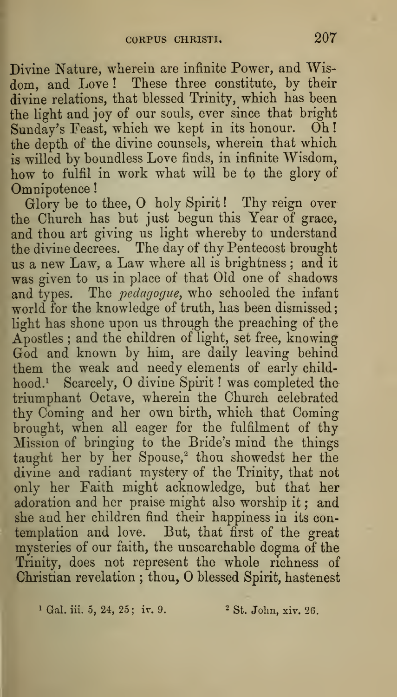$f(x)$ Divine Nature, wherein are infinite Power, and Wisdom, and Love ! These three constitute, by their divine relations, that blessed Trinity, which has been the light and joy of our souls, ever since that bright Sunday's Feast, which we kept in its honour. Oh! the depth of the divine counsels, wherein that which is willed by boundless Love finds, in infinite Wisdom, how to fulfil in work what will be to the glory of Omnipotence!

Glory be to thee, O holy Spirit! Thy reign over the Church has but just begun this Year of grace, and thou art giving us light whereby to understand the divine decrees. The day of thy Pentecost brought us a new Law, <sup>a</sup> Law where all is brightness ; and it was given to us in place of that Old one of shadows and types. The *pedagogue*, who schooled the infant world for the knowledge of truth, has been dismissed light has shone upon us through the preaching of the Apostles ; and the children of light, set free, knowing God and known by him, are daily leaving behind them the weak and needy elements of early childhood.<sup>1</sup> Scarcely, O divine Spirit ! was completed thetriumphant Octave, wherein the Church celebrated thy Coming and her own birth, which that Coming brought, when all eager for the fulfilment of thy Mission of bringing to the Bride's mind the things taught her by her Spouse,<sup>2</sup> thou showedst her the divine and radiant mystery of the Trinity, that not only her Faith might acknowledge, but that her adoration and her praise might also worship it ; and she and her children find their happiness in its con templation and love. But, that first of the great mysteries of our faith, the unsearchable dogma of the Trinity, does not represent the whole richness of Christian revelation; thou, O blessed Spirit, hastenest

<sup>1</sup> Gal. iii. 5, 24, 25; iv. 9.  $2 \text{ St. John, xiv. } 26$ .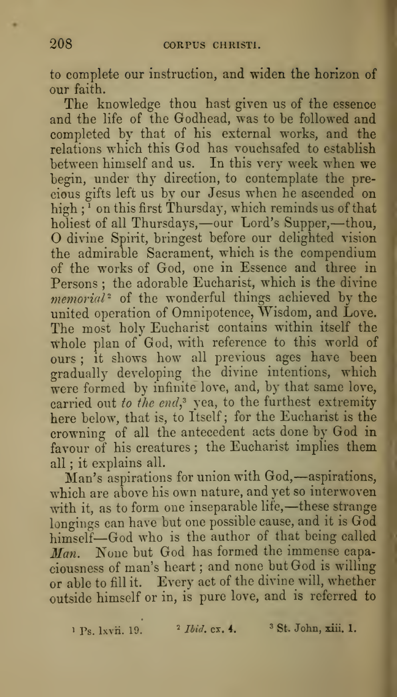to complete our instruction, and widen the horizon of our faith.

The knowledge thou hast given us of the essence and the life of the Godhead, was to be followed and completed by that of his external works, and the relations which this God has vouchsafed to establish between himself and us. In this very week when we begin, under thy direction, to contemplate the precious gifts left us by our Jesus when he ascended on high ; ' on this first Thursday, which reminds us of that holiest of all Thursdays,—our Lord's Supper,—thou, O divine Spirit, bringest before our delighted vision the admirable Sacrament, which is the compendium of the works of God, one in Essence and three in Persons ; the adorable Eucharist, which is the divine  $memorial^2$  of the wonderful things achieved by the united operation of Omnipotence, Wisdom, and Love. The most holy Eucharist contains within itself the whole plan of God, with reference to this world of ours ; it shows how all previous ages have been gradually developing the divine intentions, which were formed by infinite love, and, by that same love, carried out to the end, yea, to the furthest extremity here below, that is, to Itself; for the Eucharist is the crowning of all the antecedent acts done by God in favour of his creatures; the Eucharist implies them all ; it explains all.

Man's aspirations for union with God,—aspirations, which are above his own nature, and yet so interwoven with it, as to form one inseparable life,—these strange longings can have but one possible cause, and it is God himself—God who is the author of that being called Man. None but God has formed the immense capaciousness of man's heart ; and none but God is willing or able to fill it. Every act of the divine will, whether outside himself or in, is pure love, and is referred to

 $P_S$ . Ixvii. 19.  $\frac{1}{2}$  Ibid. ex. 4.  $\frac{3}{5}$  St. John, xiii. 1.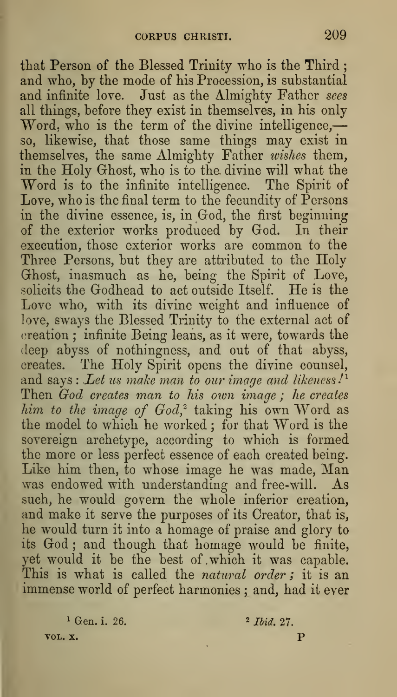that Person of the Blessed Trinity who is the Third ; and who, by the mode of his Procession, is substantial and infinite love. Just as the Almighty Father sees all things, before they exist in themselves, in his only Word, who is the term of the divine intelligence,so, likewise, that those same things may exist in themselves, the same Almighty Father wishes them, in the Holy Ghost, who is to the divine will what the Word is to the infinite intelligence. The Spirit of Love, who is the final term to the fecundity of Persons in the divine essence, is, in God, the first beginning of the exterior works produced by God. In their execution, those exterior works are common to the Three Persons, but they are attributed to the Holy Ghost, inasmuch as he, being the Spirit of Love, solicits the Godhead to act outside Itself. He is the Love who, with its divine weight and influence of love, sways the Blessed Trinity to the external act of creation ; infinite Being leans, as it were, towards the deep abyss of nothingness, and out of that abyss, creates. The Holy Spirit opens the divine counsel, and says : Let us make man to our image and likeness. $\mathcal{P}^1$ Then God creates man to his own image; he creates him to the image of  $God^2$  taking his own Word as the model to which he worked ; for that Word is the sovereign archetype, according to which is formed the more or less perfect essence of each created being. Like him then, to whose image he was made, Man was endowed with understanding and free-will. As such, he would govern the whole inferior creation, and make it serve the purposes of its Creator, that is, he would turn it into a homage of praise and glory to its God ; and though that homage would be finite, yet would it be the best of .which it was capable. This is what is called the natural order; it is an immense world of perfect harmonies; and, had it ever

 $1 \text{ Gen. i. } 26.$   $27.$ VOL. X. P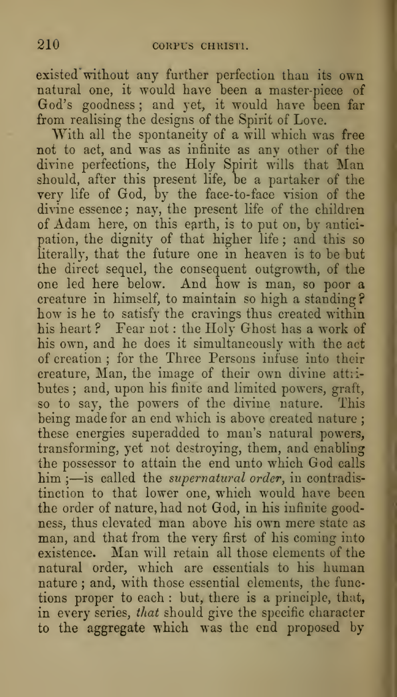existed without any further perfection than its own natural one, it would have been a master-piece of God's goodness ; and yet, it would have been far from realising the designs of the Spirit of Love.

With all the spontaneity of a will which was free not to act, and was as infinite as any other of the divine perfections, the Holy Spirit wills that Man should, after this present life, be a partaker of the very life of God, by the face-to-face vision of the divine essence ; nay, the present life of the children of Adam here, on this earth, is to put on, by anticipation, the dignity of that higher life ; and this so literally, that the future one in heaven is to be but the direct sequel, the consequent outgrowth, of the one led here below. And how is man, so poor a creature in himself, to maintain so high a standing ? how is he to satisfy the cravings thus created within his heart? Fear not: the Holy Ghost has a work of his own, and he does it simultaneously with the act of creation ; for the Three Persons infuse into their creature, Man, the image of their own divine attiibutes ; and, upon his fiuite and limited powers, graft, so to say, the powers of the divine nature. This being made for an end which is above created nature ; these energies superadded to man's natural powers, transforming, yet not destroying, them, and enabling the possessor to attain the end unto which God calls him;- is called the *supernatural order*, in contradistinction to that lower one, which would have been the order of nature, had not God, in his infinite goodness, thus elevated man above his own mere state as man, and that from the very first of his coming into existence. Man will retain all those elements of the natural order, which are essentials to his human nature ; and, with those essential elements, the functions proper to each : but, there is a principle, that, in every series, that should give the specific character to the aggregate which was the end proposed by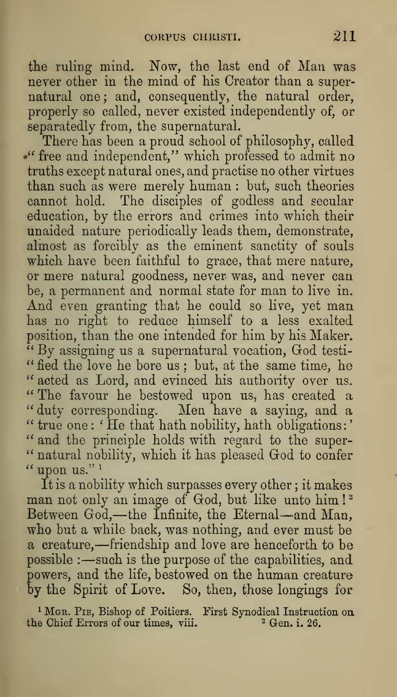the ruling mind. Now, the last end of Man was never other in the mind of his Creator than a supernatural one; and, consequently, the natural order,  $\hspace{0.1mm}$ properly so called, never existed independently of, or separatedly from, the supernatural.<br>There has been a proud school of philosophy, called

" free and independent," which professed to admit no truths except natural ones, and practise no other virtues than such as were merely human : but, such theories cannot hold. The disciples of godless and secular education, by the errors and crimes into which their unaided nature periodically leads them, demonstrate, almost as forcibly as the eminent sanctity of souls which have been faithful to grace, that mere nature, or mere natural goodness, never was, and never can he, a permanent and normal state for man to live in. And even granting that he could so live, yet man has no right to reduce himself to a less exalted position, than the one intended for him by his Maker. " By assigning us <sup>a</sup> supernatural vocation, God testi- "fied the love he bore us; but, at the same time, he " acted as Lord, and evinced his authority over us. '\* The favour he bestowed upon us, has created a " duty corresponding. Men have a saying, and a  $\lq\lq$  true one : ' He that hath nobility, hath obligations : '  $\lq\lq$ " and the principle holds with regard to the super-" natural nobility, which it has pleased God to confer " upon us." $1$ 

It is a nobility which surpasses every other ; it makes man not only an image of God, but like unto him!<sup>2</sup> Between God,—the Infinite, the Eternal—and Man, who but a while back, was nothing, and ever must be <sup>a</sup> creature,—friendship and love are henceforth to be possible : —such is the purpose of the capabilities, and powers, and the life, bestowed on the human creature by the Spirit of Love. So, then, those longings for

<sup>1</sup> Mgr. Pie, Bishop of Poitiers. First Synodical Instruction on the Chief Errors of our times, viii.  $\frac{26}{3}$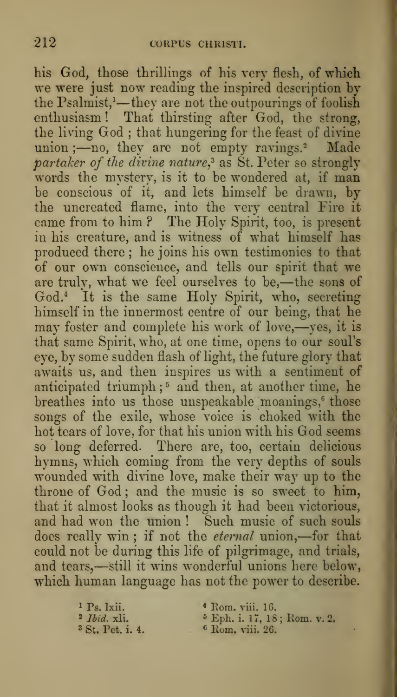his God, those thrillings of his very flesh, of which we were just now reading the inspired description by the Psalmist, $<sup>1</sup>$ —they are not the outpourings of foolish</sup> enthusiasm ! That thirsting after God, the strong, the living God ; that hungering for the feast of divine union  $;$ —no, they are not empty ravings.<sup>2</sup> Made  $\emph{partaker}$  of the divine nature, as St. Peter so strongly words the mystery, is it to be wondered at, if man be conscious of it, and lets himself be drawn, by the uncreated flame, into the very central Fire it came from to him ? The Holy Spirit, too, is present in his creature, and is witness of what himself has produced there ; he joins his own testimonies to that of our own conscience, and tells our spirit that we are truly, what we feel ourselves to be,—the sons of God.<sup>4</sup> It is the same Holy Spirit, who, secreting himself in the innermost centre of our being, that he may foster and complete his work of love,—yes, it is that same Spirit, who, at one time, opens to our soul's eye, by some sudden flash of light, the future glory that awaits us, and then inspires us with a sentiment of anticipated triumph;<sup>5</sup> and then, at another time, he breathes into us those unspeakable moanings,<sup>6</sup> those songs of the exile, whose voice is choked with the hot tears of love, for that his union with his God seems so long deferred. There are, too, certain delicious hymns, which coming from the very depths of souls wounded with divine love, make their way up to the throne of God; and the music is so sweet to him, that it almost looks as though it had been victorious, and had won the union ! Such music of such souls does really win ; if not the eternal union,—for that could not be during this life of pilgrimage, and trials, and tears,—still it wins wonderful unions here below, which human language has not the power to describe.

 $^{1}$  Ps. 1xii.  $^{4}$  Rom. viii. 16.<br> $^{2}$  *Ibid.* xli.  $^{5}$  Eph. i. 17. 18 <sup>2</sup> *Ibid.* xli. <sup>5</sup> Eph. i. 17, 18; Rom. v. 2.<br><sup>3</sup> St. Pet. i. 4. <sup>6</sup> Rom. viii. 26. <sup>6</sup> Rom. viii. 26.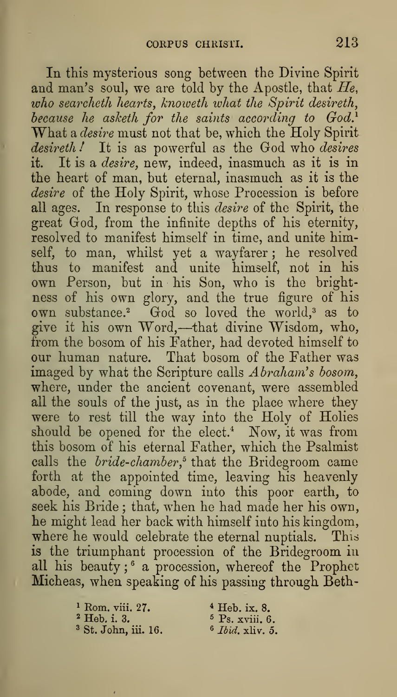In this mysterious song between the Divine Spirit and man's soul, we are told by the Apostle, that  $He$ , who searcheth hearts, knoweth what the Spirit desireth, because he asketh for the saints according to  $God.$ <sup>1</sup> What a *desire* must not that be, which the Holy Spirit desireth! It is as powerful as the God who desires it. It is a desire, new, indeed, inasmuch as it is in the heart of man, but eternal, inasmuch as it is the desire of the Holy Spirit, whose Procession is before all ages. In response to this desire of the Spirit, the great God, from the infinite depths of his eternity, resolved to manifest himself in time, and unite himself, to man, whilst yet a wayfarer ; he resolved thus to manifest and unite himself, not in his own Person, but in his Son, who is the bright ness of his own glory, and the true figure of his own substance.<sup>2</sup> God so loved the world,<sup>3</sup> as to<br>give it his own Word,—that divine Wisdom, who, from the bosom of his Father, had devoted himself to our human nature. That bosom of the Father was imaged by what the Scripture calls Abraham's bosom, where, under the ancient covenant, were assembled all the souls of the just, as in the place where they were to rest till the way into the Holy of Holies should be opened for the elect.\* Now, it was from this bosom of his eternal Father, which the Psalmist calls the *bride-chamber*,<sup>5</sup> that the Bridegroom came forth at the appointed time, leaving his heavenly abode, and coming down into this poor earth, to seek his Bride ; that, when he had made her his own, he might lead her back with himself into his kingdom, where he would celebrate the eternal nuptials. This is the triumphant procession of the Bridegroom in all his beauty;  $^{\circ}$  a procession, whereof the Prophet Micheas, when speaking of his passing through Beth-

> <sup>1</sup> Rom. viii. 27.  $4 \text{ Heb. ix. } 8.$ <br>
> <sup>2</sup> Heb. i. 3.  $5 \text{ Ps. xviii. } 6.$  $3$  St. John, iii. 16.

 $^{5}$  Ps. xviii. 6.  $^{6}$  *Ibid.* xliv. 5.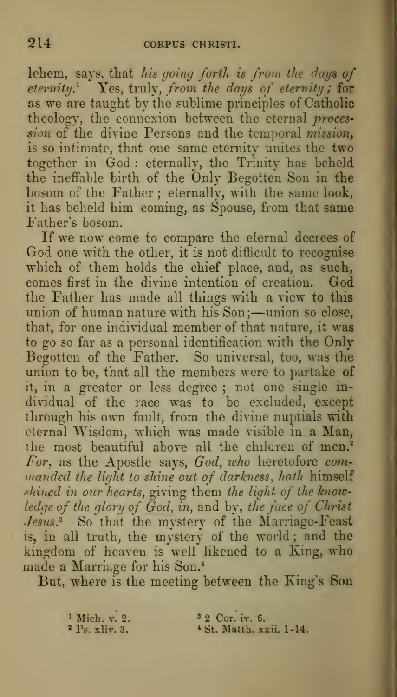lehem, says, that his going forth is from the days of eternity.<sup>1</sup> Yes, truly, from the days of eternity; for as we are taught by the sublime principles of Catholic theology, the connexion between the eternal procession of the divine Persons and the temporal mission, is so intimate, that one same eternity unites the two together in God : eternally, the Trinity has beheld the ineffable birth of the Only Begotten Son in the bosom of the Father ; eternally, with the same look, it has beheld him coming, as Spouse, from that same Father's bosom.

If we now come to compare the eternal decrees of God one with the other, it is not difficult to recognise which of them holds the chief place, and, as such, comes first in the divine intention of creation. God the Father has made all things with a view to this union of human nature with his Son;-union so close, that, for one individual member of that nature, it was to go so far as a personal identification with the Only Begotten of the Father. So universal, too, was the union to be, that all the members were to partake of it, in a greater or less degree ; not one single individual of the race was to be excluded, except through his own fault, from the divine nuptials with eternal Wisdom, which was made visible in a Man, the most beautiful above all the children of men.<sup>2</sup> For, as the Apostle says, God, icho heretofore com manded the light to shine out of darkness, hath himself shined in our hearts, giving them the light of the knowledge of the glory of God, in, and by, the face of Christ Jesus.<sup>3</sup> So that the mystery of the Marriage-Feast is, in all truth, the mystery of the world ; and the kingdom of heaven is well likened to a King, who made a Marriage for his Son.\*

But, where is the meeting between the King's Son

<sup>1</sup> Mich. v. 2. <sup>3</sup> 2 Cor. iv. 6.<br><sup>2</sup> Ps. xliv. 3. <sup>4</sup> St. Matth. x <sup>4</sup> St. Matth. xxii. 1-14.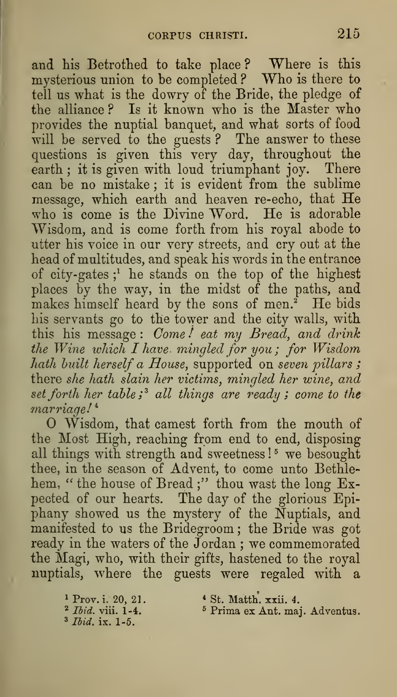and his Betrothed to take place? Where is this mysterious union to be completed ? Who is there to tell us what is the dowry of the Bride, the pledge of the alliance ? Is it known who is the Master who provides the nuptial banquet, and what sorts of food will be served to the guests ? The answer to these questions is given this very day, throughout the earth; it is given with loud triumphant joy. There can be no mistake ; it is evident from the sublime message, which earth and heaven re-echo, that He who is come is the Divine Word. He is adorable Wisdom, and is come forth from his royal abode to utter his voice in our very streets, and cry out at the head of multitudes, and speak his words in the entrance of city-gates ;^ he stands on the top of the highest places by the way, in the midst of the paths, and makes himself heard by the sons of men.<sup>2</sup> He bids his servants go to the tower and the city walls, with this his message: Come! eat my Bread, and drink the Wine which  $I$  have mingled for you; for Wisdom hath built herself a House, supported on seven pillars; there she hath slain her victims, mingled her wine, and set forth her table;<sup>3</sup> all things are ready; come to the marriage!<sup>4</sup>

Wisdom, that camest forth from the mouth of the Most High, reaching from end to end, disposing all things with strength and sweetness!<sup>5</sup> we besought thee, in the season of Advent, to come unto Bethlehem, " the house of Bread;" thou wast the long Expected of our hearts. The day of the glorious Epiphany showed us the mystery of the Nuptials, and manifested to us the Bridegroom ; the Bride was got ready in the waters of the Jordan ; we commemorated the Magi, who, with their gifts, hastened to the royal nuptials, where the guests were regaled with a

 $\frac{1}{2}$  Prov. i. 20, 21.<br>  $\frac{2}{1}$  Ibid. viii. 1-4. 3 Ibid. ix. 1-5.

\* St. Matth. xxii. 4.

<sup>5</sup> Prima ex Ant. maj. Adventus.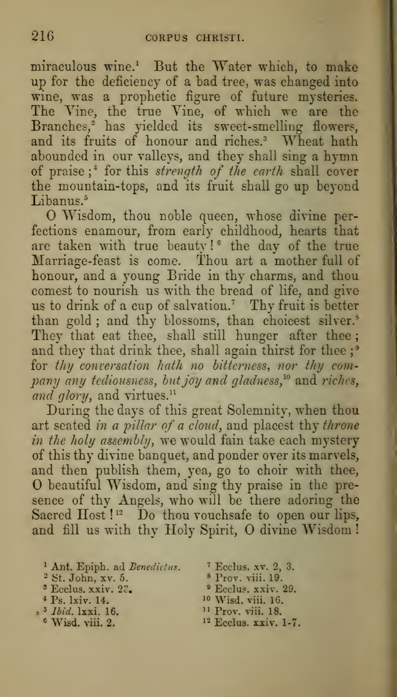miraculous wine.<sup>1</sup> But the Water which, to make up for the deficiency of a bad tree, was changed into wine, was a prophetic figure of future mysteries. The Vine, the true Vine, of which we are the Branches," has yielded its sweet-smelling flowers, and its fruits of honour and riches.<sup>3</sup> Wheat hath abounded in our valleys, and they shall sing a hymn of praise;<sup>\*</sup> for this strength of the earth shall cover the mountain-tops, and its fruit shall go up beyond Libanus.<sup>5</sup>

O Wisdom, thou noble queen, whose divine perfections enamour, from early childhood, hearts that are taken with true beauty!" the day of the true  $\qquad$ Marriage-feast is come. Thou art a mother full of honour, and a young Bride in thy charms, and thou comest to nourish us with the bread of life, and give us to drink of a cup of salvation.' Thy fruit is better than gold; and thy blossoms, than choicest silver. $^{\circ}$   $-$ They that eat thee, shall still hunger after thee; and they that drink thee, shall again thirst for thee;<sup>9</sup> for thy conversation hath no bitterness, nor thy com $p$ any any tediousness, but joy and gladness, $^{10}$  and riches, and glory, and virtues. $<sup>11</sup>$ </sup>

During the days of this great Solemnity, when thou art seated in a pillar of a cloud, and placest thy throne in the holy assembly, we would fain take each mystery of this thy divine banquet, and ponder over its marvels, and then publish them, yea, go to choir with thee, O beautiful Wisdom, and sing thy praise in the pre sence of thy Angels, who will be there adoring the Sacred Host ! $^{\scriptscriptstyle{12}}$  Do thou vouchsafe to open our lips, and fill us with thy Holy Spirit, O divine Wisdom !

- \* Ant. Epiph. ad Benedittus. ' Ecclus. xv. 2, 3.
- <sup>2</sup> St. John, xv. 5.  $8 \text{ Prov. }$  viii. 19.<br>
<sup>3</sup> Ecclus, xxiv. 22.  $9 \text{ Eccus. }$  xxiv. 29.
- 
- 
- $*$ <sup>3</sup> *Ibid.* 1xxi. 16.  $*$  Wisd. viii. 2.
	-
- 
- 
- $\text{Ecolus. xxiv. } 2\tilde{\epsilon}_\bullet$   $\text{Ecolus. xxiv. } 29.$
- \* Ps. 1xiv. 14. <br>  $^{10}$  Wisd. viii. 16. <br>  $^{11}$  Prov. viii. 18.
	-
	- <sup>12</sup> Ecclus. xxiv. 1-7.